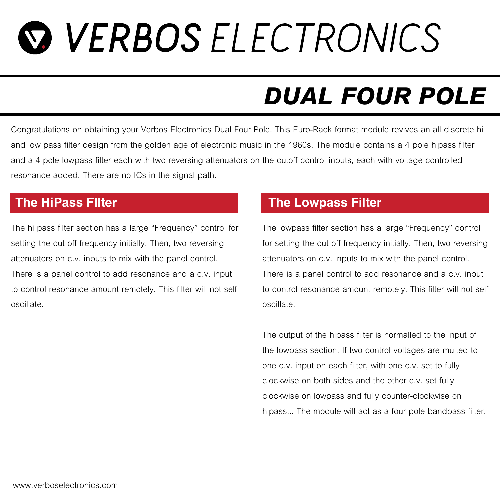## *Q VERBOS ELECTRONICS*

## *DUAL FOUR POLE*

*Congratulations on obtaining your Verbos Electronics Dual Four Pole. This Euro-Rack format module revives an all discrete hi*  and low pass filter design from the golden age of electronic music in the 1960s. The module contains a 4 pole hipass filter and a 4 pole lowpass filter each with two reversing attenuators on the cutoff control inputs, each with voltage controlled *resonance added. There are no ICs in the signal path.*

*The hi pass filter section has a large "Frequency" control for*  setting the cut off frequency initially. Then, two reversing *attenuators on c.v. inputs to mix with the panel control. There is a panel control to add resonance and a c.v. input*  to control resonance amount remotely. This filter will not self *oscillate.*

### **The HiPass FIlter The Lowpass Filter**

*The lowpass filter section has a large "Frequency" control*  for setting the cut off frequency initially. Then, two reversing *attenuators on c.v. inputs to mix with the panel control. There is a panel control to add resonance and a c.v. input*  to control resonance amount remotely. This filter will not self *oscillate.*

*The output of the hipass filter is normalled to the input of the lowpass section. If two control voltages are multed to one c.v. input on each filter, with one c.v. set to fully clockwise on both sides and the other c.v. set fully clockwise on lowpass and fully counter-clockwise on hipass... The module will act as a four pole bandpass filter.*